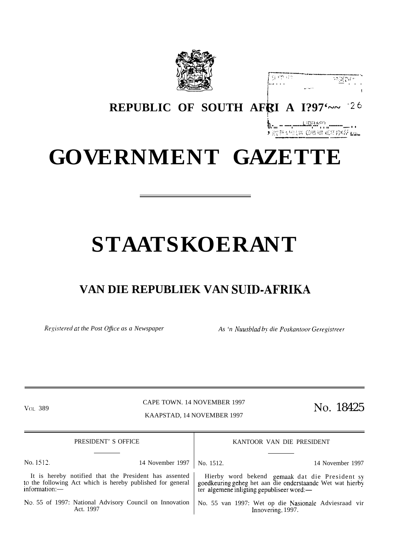

| 右庭 片外 打失<br>计可能控制计 |  |
|--------------------|--|
| .                  |  |
| and form the       |  |

## REPUBLIC OF SOUTH AFRI A 1?97'~~ 26

## **GOVERNMENT GAZETTE**

# **STAATSKOERANT**

### VAN DIE REPUBLIEK VAN SUID-AFRIKA

Registered at the Post Office as a Newspaper

As 'n Nuusblad by die Poskantoor Geregistreer

VOL 389

CAPE TOWN. 14 NOVEMBER 1997

KAAPSTAD, 14 NOVEMBER 1997

No. 18425

| PRESIDENT' S OFFICE |                                                                                                                     | KANTOOR VAN DIE PRESIDENT                                                                                                                                |  |
|---------------------|---------------------------------------------------------------------------------------------------------------------|----------------------------------------------------------------------------------------------------------------------------------------------------------|--|
| No. 1512.           | 14 November 1997   No. 1512.                                                                                        | 14 November 1997                                                                                                                                         |  |
| information:        | It is hereby notified that the President has assented<br>to the following Act which is hereby published for general | Hierby word bekend gemaak dat die President sy<br>goedkeuring geheg het aan die onderstaande Wet wat hierby<br>ter algemene inligting gepubliseer word:— |  |
|                     | No. 55 of 1997: National Advisory Council on Innovation<br>Act. 1997                                                | No. 55 van 1997: Wet op die Nasionale Adviesraad vir<br>Innovering, 1997.                                                                                |  |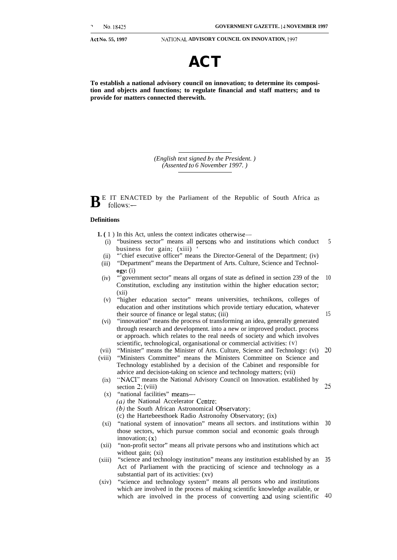15

25

**Act No. 55, 1997 NATION.AL ADVISORY COUNCIL ON INNOVATION, 1997**



**To establish a national advisory council on innovation; to determine its composition and objects and functions; to regulate financial and staff matters; and to provide for matters connected therewith.**

> *(English text signed by the President. ) (Assented to 6 November 1997. )*

 $\mathbf{B}$ <sup>E</sup> IT ENACTED by the Parliament of the Republic of South Africa as follows:follows:—

#### **Definitions**

**1. (** 1 ) In this Act, unless the context indicates otherwise—

- (i) "business sector" means all persons who and institutions which conduct business for gain; (xiii) 5
- (ii) "'chief executive officer" means the Director-General of the Department; (iv)
- (iii) "Department" means the Department of Arts. Culture, Science and Technol**ogy:** (i)
- $(iv)$ "'government sector" means all organs of state as defined in section 239 of the 10 Constitution, excluding any institution within the higher education sector;  $(xii)$
- (v) "higher education sector" means universities, technikons, colleges of education and other institutions which provide tertiary education, whatever their source of finance or legal status; (iii)
- (vi) "innovation" means the process of transforming an idea, generally generated through research and development. into a new or improved product. process or approach. which relates to the real needs of society and which involves scientific, technological, organisational or commercial activities: (v)
- (vii) "Minister" means the Minister of Arts. Culture, Science and Technology: (vi) 20
- (viii) "Ministers Committee" means the Ministers Committee on Science and Technology established by a decision of the Cabinet and responsible for advice and decision-taking on science and technology matters; (vii)
	- (ix) "NACI" means the National Advisory Council on Innovation. established by section 2; (viii)
	- $(x)$ "national facilities" means—
		- (a) the National Accelerator Centre;
		- $(b)$  the South African Astronomical Observatory;
		- (c) the Hartebeesthoek Radio Astronomy Observatory; (ix)
- (xi) "national system of innovation" means all sectors. and institutions within 30 those sectors, which pursue common social and economic goals through innovation; (x)
- (xii) "non-profit sector" means all private persons who and institutions which act without gain; (xi)
- (xiii) "science and technology institution" means any institution established by an 35 Act of Parliament with the practicing of science and technology as a substantial part of its activities: (xv)
- (xiv) "science and technology system" means all persons who and institutions which are involved in the process of making scientific knowledge available, or which are involved in the process of converting and using scientific 40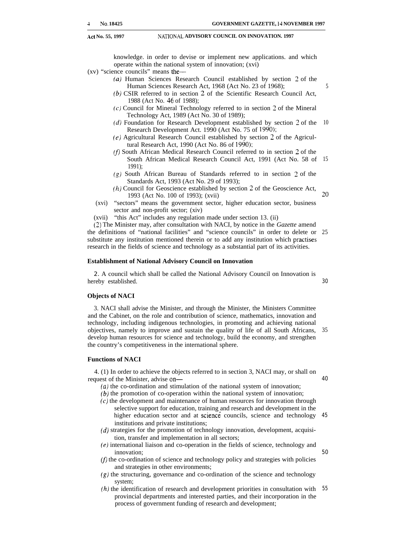#### **Act No. 55, 1997 NATION.4L ADVISORY COUNCIL ON INNOVATION. 1997**

knowledge. in order to devise or implement new applications. and which operate within the national system of innovation; (xvi)

- (xv) "science councils" means the—
	- (a) Human Sciences Research Council established by section 2 of the Human Sciences Research Act, 1968 (Act No. 23 of 1968);
	- $(b)$  CSIR referred to in section 2 of the Scientific Research Council Act, 1988 (Act No. 46 of 1988);
	- (c) Council for Mineral Technology referred to in section 2 of the Mineral Technology Act, 1989 (Act No. 30 of 1989);
	- (d) Foundation for Research Development established by section 2 of the Research Development Act. 1990 (Act No. 75 of 1990); 10
	- (e) Agricultural Research Council established by section 2 of the Agricultural Research Act, 1990 (Act No. 86 of 1990):
	- $(f)$  South African Medical Research Council referred to in section 2 of the South African Medical Research Council Act, 1991 (Act No. 58 of 15 1991);
	- (g) South African Bureau of Standards referred to in section 2 of the Standards Act, 1993 (Act No. 29 of 1993);
	- (h) Council for Geoscience established by section 2 of the Geoscience Act, 1993 (Act No. 100 of 1993); (xvii) Z()
	- (xvi) "sectors" means the government sector, higher education sector, business sector and non-profit sector; (xiv)
	- (xvii) "this Act" includes any regulation made under section 13. (ii)

(2) The Minister may, after consultation with NACI, by notice in the *Gazette* amend the definitions of "national facilities" and "science councils" in order to delete or 25 substitute any institution mentioned therein or to add any institution which practises research in the fields of science and technology as a substantial part of its activities.

#### **Establishment of National Advisory Council on Innovation**

2. A council which shall be called the National Advisory Council on Innovation is hereby established. 30

#### **Objects of NACI**

3. NACI shall advise the Minister, and through the Minister, the Ministers Committee and the Cabinet, on the role and contribution of science, mathematics, innovation and technology, including indigenous technologies, in promoting and achieving national objectives, namely to improve and sustain the quality of life of all South Africans, develop human resources for science and technology, build the economy, and strengthen the country's competitiveness in the international sphere. 35

#### **Functions of NACI**

4. (1) In order to achieve the objects referred to in section 3, NACI may, or shall on request of the Minister, advise on—

- (a) the co-ordination and stimulation of the national system of innovation;
- $(b)$  the promotion of co-operation within the national system of innovation;
- (c) the development and maintenance of human resources for innovation through selective support for education, training and research and development in the higher education sector and at science councils, science and technology institutions and private institutions; 45
- (d) strategies for the promotion of technology innovation, development, acquisition, transfer and implementation in all sectors;
- (e) international liaison and co-operation in the fields of science, technology and innovation;
- $(f)$  the co-ordination of science and technology policy and strategies with policies and strategies in other environments;
- (g) the structuring, governance and co-ordination of the science and technology system;
- (h) the identification of research and development priorities in consultation with provincial departments and interested parties, and their incorporation in the process of government funding of research and development; 55

40

50

5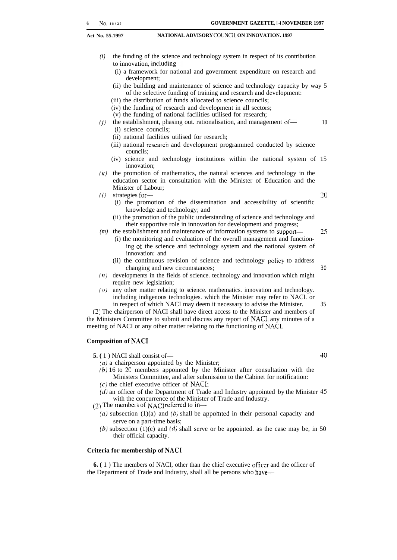#### **Act No. 55.1997 NATIONAL ADVISORY COLNCIL ON INNOVATION. 1997**

- *(i)* the funding of the science and technology system in respect of its contribution to innovation, including—
	- (i) a framework for national and government expenditure on research and development;
	- (ii) the building and maintenance of science and technology capacity by way 5 of the selective funding of training and research and development:
	- (iii) the distribution of funds allocated to science councils;
	- (iv) the funding of research and development in all sectors;
	- (v) the funding of national facilities utilised for research;
- *(j)* the establishment, phasing out. rationalisation, and management of— 10 (i) science councils;
	- (ii) national facilities utilised for research;
	- (iii) national research and development programmed conducted by science councils;
	- (iv) science and technology institutions within the national system of 15 innovation;
- *(k)* the promotion of mathematics, the natural sciences and technology in the education sector in consultation with the Minister of Education and the Minister of Labour;
- *(1)* strategies for— 20
	-
	- (i) the promotion of the dissemination and accessibility of scientific knowledge and technology; and
	- (ii) the promotion of the public understanding of science and technology and their supportive role in innovation for development and progress;
- *(m)* the establishment and maintenance of information systems to support— 25 (i) the monitoring and evaluation of the overall management and function
	- ing of the science and technology system and the national system of innovation: and
	- (ii) the continuous revision of science and technology policy to address changing and new circumstances; 30
- *(11)* developments in the fields of science. technology and innovation which might require new legislation;
- *(0)* any other matter relating to science. mathematics. innovation and technology. including indigenous technologies. which the Minister may refer to NACI. or in respect of which NACI may deem it necessary to advise the Minister.  $35$

(2) The chairperson of NACI shall have direct access to the Minister and members of the Ministers Committee to submit and discuss any report of NACI. any minutes of a meeting of NACI or any other matter relating to the functioning of NACI.

#### **Composition of NACI**

- **5.** ( 1 ) NACI shall consist of 40
	- $(a)$  a chairperson appointed by the Minister;
	- (b) 16 to 20 members appointed by the Minister after consultation with the Ministers Committee, and after submission to the Cabinet for notification:
	- $(c)$  the chief executive officer of NACI;
	- (d) an officer of the Department of Trade and Industry appointed by the Minister 45 with the concurrence of the Minister of Trade and Industry.
- (2) The members of NACI referred to in-
	- (a) subsection (1)(a) and (b) shall be appointed in their personal capacity and serve on a part-time basis;
	- (b) subsection (1)(c) and (d) shall serve or be appointed. as the case may be, in 50 their official capacity.

#### **Criteria for membership of NACI**

**6. (** 1 ) The members of NACI, other than the chief executive oficer and the officer of the Department of Trade and Industry, shall all be persons who have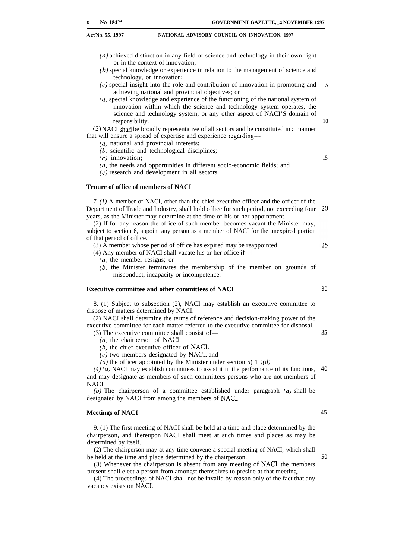**.Act No. 55, 1997 NATIONAL ADVISORY COUNCIL ON INNOVATION. 1997**

- *(a)* achieved distinction in any field of science and technology in their own right or in the context of innovation;
- (b) special knowledge or experience in relation to the management of science and technology, or innovation;
- (c) special insight into the role and contribution of innovation in promoting and achieving national and provincial objectives; or *5*
- $(d)$  special knowledge and experience of the functioning of the national system of innovation within which the science and technology system operates, the science and technology system, or any other aspect of NACI'S domain of responsibility.

(2) NACI shall be broadly representative of all sectors and be constituted in a manner that will ensure a spread of expertise and experience regarding—

- *(a)* national and provincial interests;
- (b) scientific and technological disciplines;

(c) innovation;

- (d) the needs and opportunities in different socio-economic fields; and
- (e) research and development in all sectors.

### **Tenure of office of members of NACI**

*7. (1)* A member of NACI, other than the chief executive officer and the officer of the Department of Trade and Industry, shall hold office for such period, not exceeding four 20 years, as the Minister may determine at the time of his or her appointment.

(2) If for any reason the office of such member becomes vacant the Minister may, subject to section 6, appoint any person as a member of NACI for the unexpired portion of that period of office.

(3) A member whose period of office has expired may be reappointed.

(4) Any member of NACI shall vacate his or her office if—

- *(a)* the member resigns; or
- (b) the Minister terminates the membership of the member on grounds of misconduct, incapacity or incompetence.

#### **Executive committee and other committees of NACI**

8. (1) Subject to subsection (2), NACI may establish an executive committee to dispose of matters determined by NACI.

(2) NACI shall determine the terms of reference and decision-making power of the executive committee for each matter referred to the executive committee for disposal.

(3) The executive committee shall consist of— *(a)* the chairperson of NACI;

- 
- $(b)$  the chief executive officer of NACI:

(c) two members designated by NACI; and

(*d*) the officer appointed by the Minister under section 5(1)(*d*)

*(4) (a)* NACI may establish committees to assist it in the performance of its functions, 40 and may designate as members of such committees persons who are not members of NACI.

*(b)* The chairperson of a committee established under paragraph *(a)* shall be designated by NACI from among the members of NACI.

#### **Meetings of NACI**

9. (1) The first meeting of NACI shall be held at a time and place determined by the chairperson, and thereupon NACI shall meet at such times and places as may be determined by itself.

(2) The chairperson may at any time convene a special meeting of NACI, which shall be held at the time and place determined by the chairperson.

(3) Whenever the chairperson is absent from any meeting of NACI, the members present shall elect a person from amongst themselves to preside at that meeting.

(4) The proceedings of NACI shall not be invalid by reason only of the fact that any vacancy exists on NACI.

10

15

30

25

35

45

50